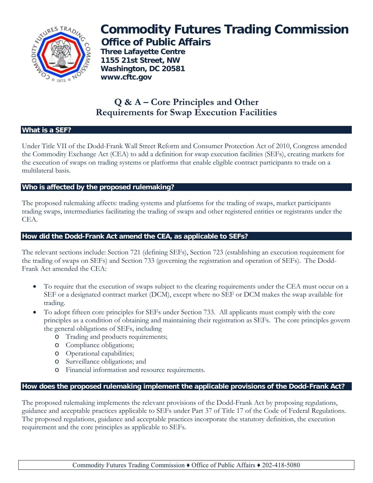

# **Commodity Futures Trading Commission Office of Public Affairs**

 **Three Lafayette Centre 1155 21st Street, NW Washington, DC 20581 www.cftc.gov**

# **Q & A – Core Principles and Other Requirements for Swap Execution Facilities**

### **What is a SEF?**

Under Title VII of the Dodd-Frank Wall Street Reform and Consumer Protection Act of 2010, Congress amended the Commodity Exchange Act (CEA) to add a definition for swap execution facilities (SEFs), creating markets for the execution of swaps on trading systems or platforms that enable eligible contract participants to trade on a multilateral basis.

# **Who is affected by the proposed rulemaking?**

The proposed rulemaking affects: trading systems and platforms for the trading of swaps, market participants trading swaps, intermediaries facilitating the trading of swaps and other registered entities or registrants under the CEA.

## **How did the Dodd-Frank Act amend the CEA, as applicable to SEFs?**

The relevant sections include: Section 721 (defining SEFs), Section 723 (establishing an execution requirement for the trading of swaps on SEFs) and Section 733 (governing the registration and operation of SEFs). The Dodd-Frank Act amended the CEA:

- To require that the execution of swaps subject to the clearing requirements under the CEA must occur on a SEF or a designated contract market (DCM), except where no SEF or DCM makes the swap available for trading.
- To adopt fifteen core principles for SEFs under Section 733. All applicants must comply with the core principles as a condition of obtaining and maintaining their registration as SEFs. The core principles govern the general obligations of SEFs, including
	- o Trading and products requirements;
	- o Compliance obligations;
	- o Operational capabilities;
	- o Surveillance obligations; and
	- o Financial information and resource requirements.

# **How does the proposed rulemaking implement the applicable provisions of the Dodd-Frank Act?**

The proposed rulemaking implements the relevant provisions of the Dodd-Frank Act by proposing regulations, guidance and acceptable practices applicable to SEFs under Part 37 of Title 17 of the Code of Federal Regulations. The proposed regulations, guidance and acceptable practices incorporate the statutory definition, the execution requirement and the core principles as applicable to SEFs.